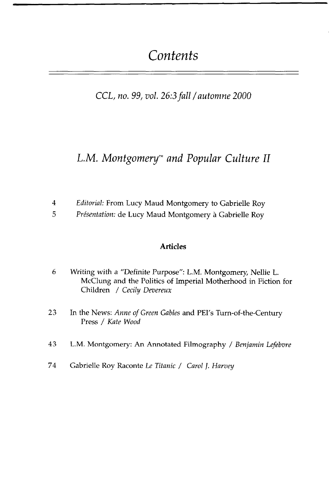# *Contents*

### *CCL, no. 99, vol.* 26:3 *fall / automne 2000*

## *L.M. Montgomery™ and Popular Culture II*

- 4 *Editorial:* From Lucy Maud Montgomery to Gabrielle Roy
- 5 *Presentation:* de Lucy Maud Montgomery a Gabrielle Roy

#### **Articles**

- 6 Writing with a "Definite Purpose": L.M. Montgomery, Nellie L. McClung and the Politics of Imperial Motherhood in Fiction for Children / *Cecily Devereux*
- 23 In the News: *Anne of Green Gables* and PEI's Turn-of-the-Century Press / *Kate Wood*
- 43 L.M. Montgomery: An Annotated Filmography / *Benjamin Lefebvre*
- 74 Gabrielle Roy Raconte *Le Titanic / Carol ]. Harvey*